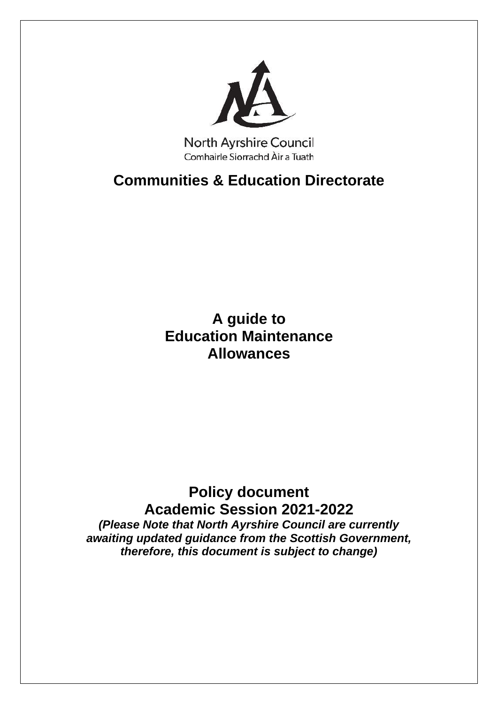

**North Ayrshire Council** Comhairle Siorrachd Àir a Tuath

**Communities & Education Directorate**

**A guide to Education Maintenance Allowances**

# **Policy document Academic Session 2021-2022** *(Please Note that North Ayrshire Council are currently*

*awaiting updated guidance from the Scottish Government, therefore, this document is subject to change)*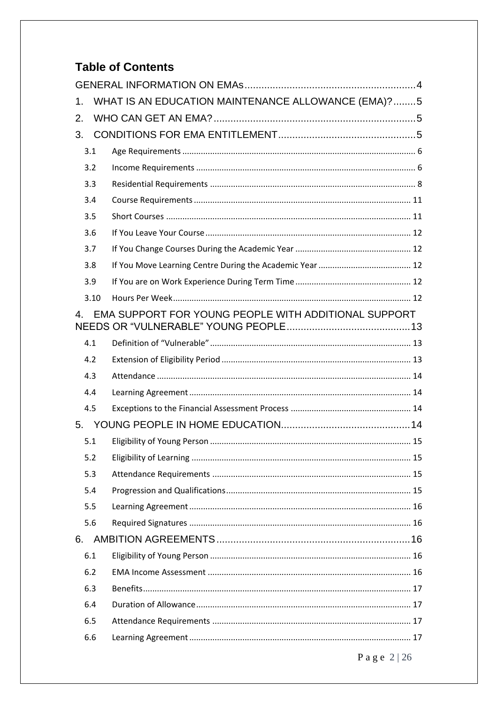# **Table of Contents**

| 1.                                                                     | WHAT IS AN EDUCATION MAINTENANCE ALLOWANCE (EMA)?5 |  |  |  |
|------------------------------------------------------------------------|----------------------------------------------------|--|--|--|
| 2.                                                                     |                                                    |  |  |  |
| 3.                                                                     |                                                    |  |  |  |
| 3.1                                                                    |                                                    |  |  |  |
| 3.2                                                                    |                                                    |  |  |  |
| 3.3                                                                    |                                                    |  |  |  |
| 3.4                                                                    |                                                    |  |  |  |
| 3.5                                                                    |                                                    |  |  |  |
| 3.6                                                                    |                                                    |  |  |  |
| 3.7                                                                    |                                                    |  |  |  |
| 3.8                                                                    |                                                    |  |  |  |
| 3.9                                                                    |                                                    |  |  |  |
| 3.10                                                                   |                                                    |  |  |  |
| EMA SUPPORT FOR YOUNG PEOPLE WITH ADDITIONAL SUPPORT<br>$\overline{4}$ |                                                    |  |  |  |
| 4.1                                                                    |                                                    |  |  |  |
| 4.2                                                                    |                                                    |  |  |  |
| 4.3                                                                    |                                                    |  |  |  |
| 4.4                                                                    |                                                    |  |  |  |
| 4.5                                                                    |                                                    |  |  |  |
|                                                                        |                                                    |  |  |  |
| 5.1                                                                    |                                                    |  |  |  |
| 5.2                                                                    |                                                    |  |  |  |
| 5.3                                                                    |                                                    |  |  |  |
| 5.4                                                                    |                                                    |  |  |  |
| 5.5                                                                    |                                                    |  |  |  |
| 5.6                                                                    |                                                    |  |  |  |
| 6.                                                                     |                                                    |  |  |  |
| 6.1                                                                    |                                                    |  |  |  |
| 6.2                                                                    |                                                    |  |  |  |
| 6.3                                                                    |                                                    |  |  |  |
| 6.4                                                                    |                                                    |  |  |  |
| 6.5                                                                    |                                                    |  |  |  |
| 6.6                                                                    |                                                    |  |  |  |
|                                                                        | Page $2 26$                                        |  |  |  |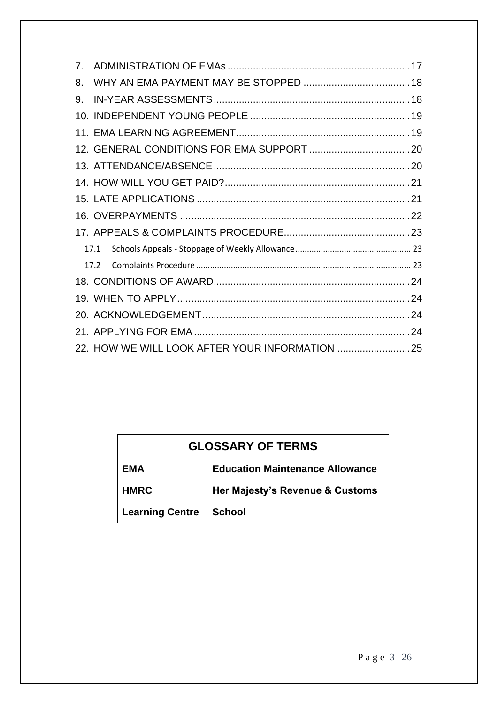| $7_{-}$ |  |  |  |
|---------|--|--|--|
| 8.      |  |  |  |
| 9.      |  |  |  |
|         |  |  |  |
|         |  |  |  |
|         |  |  |  |
|         |  |  |  |
|         |  |  |  |
|         |  |  |  |
|         |  |  |  |
|         |  |  |  |
| 17.1    |  |  |  |
| 17.2    |  |  |  |
|         |  |  |  |
|         |  |  |  |
|         |  |  |  |
|         |  |  |  |
|         |  |  |  |

# **GLOSSARY OF TERMS**

| EMA                           | <b>Education Maintenance Allowance</b> |
|-------------------------------|----------------------------------------|
| <b>HMRC</b>                   | Her Majesty's Revenue & Customs        |
| <b>Learning Centre School</b> |                                        |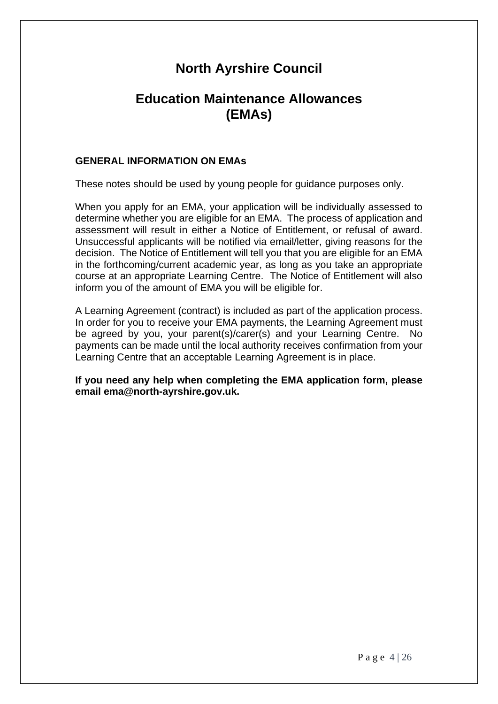# **North Ayrshire Council**

# **Education Maintenance Allowances (EMAs)**

#### <span id="page-3-0"></span>**GENERAL INFORMATION ON EMAs**

These notes should be used by young people for guidance purposes only.

When you apply for an EMA, your application will be individually assessed to determine whether you are eligible for an EMA. The process of application and assessment will result in either a Notice of Entitlement, or refusal of award. Unsuccessful applicants will be notified via email/letter, giving reasons for the decision. The Notice of Entitlement will tell you that you are eligible for an EMA in the forthcoming/current academic year, as long as you take an appropriate course at an appropriate Learning Centre. The Notice of Entitlement will also inform you of the amount of EMA you will be eligible for.

A Learning Agreement (contract) is included as part of the application process. In order for you to receive your EMA payments, the Learning Agreement must be agreed by you, your parent(s)/carer(s) and your Learning Centre. No payments can be made until the local authority receives confirmation from your Learning Centre that an acceptable Learning Agreement is in place.

**If you need any help when completing the EMA application form, please email ema@north-ayrshire.gov.uk.**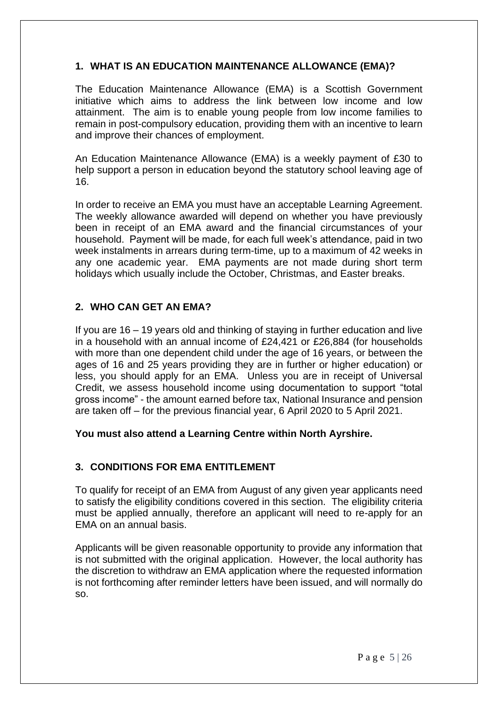# <span id="page-4-0"></span>**1. WHAT IS AN EDUCATION MAINTENANCE ALLOWANCE (EMA)?**

The Education Maintenance Allowance (EMA) is a Scottish Government initiative which aims to address the link between low income and low attainment. The aim is to enable young people from low income families to remain in post-compulsory education, providing them with an incentive to learn and improve their chances of employment.

An Education Maintenance Allowance (EMA) is a weekly payment of £30 to help support a person in education beyond the statutory school leaving age of 16.

In order to receive an EMA you must have an acceptable Learning Agreement. The weekly allowance awarded will depend on whether you have previously been in receipt of an EMA award and the financial circumstances of your household. Payment will be made, for each full week's attendance, paid in two week instalments in arrears during term-time, up to a maximum of 42 weeks in any one academic year. EMA payments are not made during short term holidays which usually include the October, Christmas, and Easter breaks.

# <span id="page-4-1"></span>**2. WHO CAN GET AN EMA?**

If you are 16 – 19 years old and thinking of staying in further education and live in a household with an annual income of £24,421 or £26,884 (for households with more than one dependent child under the age of 16 years, or between the ages of 16 and 25 years providing they are in further or higher education) or less, you should apply for an EMA. Unless you are in receipt of Universal Credit, we assess household income using documentation to support "total gross income" - the amount earned before tax, National Insurance and pension are taken off – for the previous financial year, 6 April 2020 to 5 April 2021.

# **You must also attend a Learning Centre within North Ayrshire.**

# <span id="page-4-2"></span>**3. CONDITIONS FOR EMA ENTITLEMENT**

To qualify for receipt of an EMA from August of any given year applicants need to satisfy the eligibility conditions covered in this section. The eligibility criteria must be applied annually, therefore an applicant will need to re-apply for an EMA on an annual basis.

Applicants will be given reasonable opportunity to provide any information that is not submitted with the original application. However, the local authority has the discretion to withdraw an EMA application where the requested information is not forthcoming after reminder letters have been issued, and will normally do so.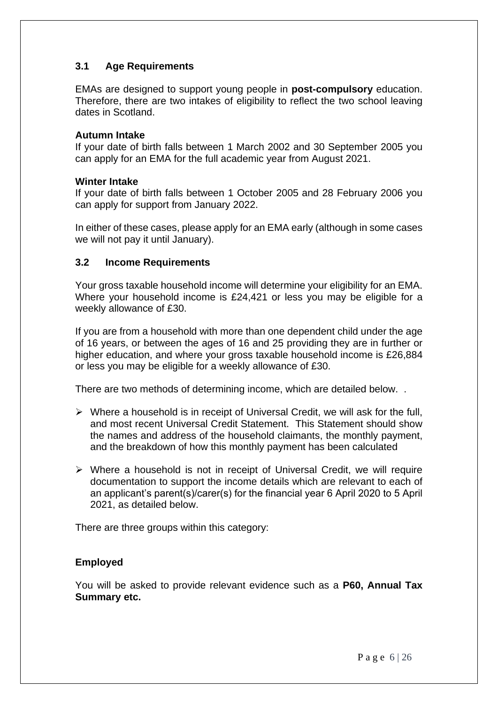# <span id="page-5-0"></span>**3.1 Age Requirements**

EMAs are designed to support young people in **post-compulsory** education. Therefore, there are two intakes of eligibility to reflect the two school leaving dates in Scotland.

#### **Autumn Intake**

If your date of birth falls between 1 March 2002 and 30 September 2005 you can apply for an EMA for the full academic year from August 2021.

#### **Winter Intake**

If your date of birth falls between 1 October 2005 and 28 February 2006 you can apply for support from January 2022.

In either of these cases, please apply for an EMA early (although in some cases we will not pay it until January).

## <span id="page-5-1"></span>**3.2 Income Requirements**

Your gross taxable household income will determine your eligibility for an EMA. Where your household income is £24,421 or less you may be eligible for a weekly allowance of £30.

If you are from a household with more than one dependent child under the age of 16 years, or between the ages of 16 and 25 providing they are in further or higher education, and where your gross taxable household income is £26,884 or less you may be eligible for a weekly allowance of £30.

There are two methods of determining income, which are detailed below. .

- $\triangleright$  Where a household is in receipt of Universal Credit, we will ask for the full, and most recent Universal Credit Statement. This Statement should show the names and address of the household claimants, the monthly payment, and the breakdown of how this monthly payment has been calculated
- ➢ Where a household is not in receipt of Universal Credit, we will require documentation to support the income details which are relevant to each of an applicant's parent(s)/carer(s) for the financial year 6 April 2020 to 5 April 2021, as detailed below.

There are three groups within this category:

#### **Employed**

You will be asked to provide relevant evidence such as a **P60, Annual Tax Summary etc.**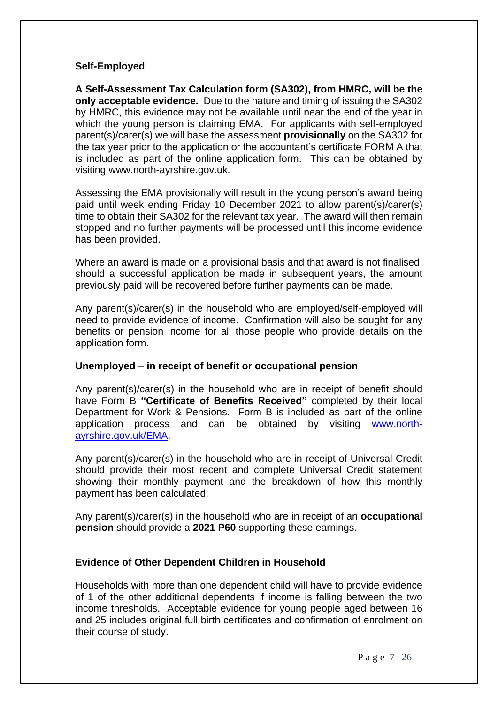#### **Self-Employed**

**A Self-Assessment Tax Calculation form (SA302), from HMRC, will be the only acceptable evidence.** Due to the nature and timing of issuing the SA302 by HMRC, this evidence may not be available until near the end of the year in which the young person is claiming EMA. For applicants with self-employed parent(s)/carer(s) we will base the assessment **provisionally** on the SA302 for the tax year prior to the application or the accountant's certificate FORM A that is included as part of the online application form. This can be obtained by visiting www.north-ayrshire.gov.uk.

Assessing the EMA provisionally will result in the young person's award being paid until week ending Friday 10 December 2021 to allow parent(s)/carer(s) time to obtain their SA302 for the relevant tax year. The award will then remain stopped and no further payments will be processed until this income evidence has been provided.

Where an award is made on a provisional basis and that award is not finalised, should a successful application be made in subsequent years, the amount previously paid will be recovered before further payments can be made.

Any parent(s)/carer(s) in the household who are employed/self-employed will need to provide evidence of income. Confirmation will also be sought for any benefits or pension income for all those people who provide details on the application form.

#### **Unemployed – in receipt of benefit or occupational pension**

Any parent(s)/carer(s) in the household who are in receipt of benefit should have Form B **"Certificate of Benefits Received"** completed by their local Department for Work & Pensions. Form B is included as part of the online application process and can be obtained by visiting [www.north](http://www.north-ayrshire.gov.uk/EMA)[ayrshire.gov.uk/EMA.](http://www.north-ayrshire.gov.uk/EMA)

Any parent(s)/carer(s) in the household who are in receipt of Universal Credit should provide their most recent and complete Universal Credit statement showing their monthly payment and the breakdown of how this monthly payment has been calculated.

Any parent(s)/carer(s) in the household who are in receipt of an **occupational pension** should provide a **2021 P60** supporting these earnings.

# **Evidence of Other Dependent Children in Household**

Households with more than one dependent child will have to provide evidence of 1 of the other additional dependents if income is falling between the two income thresholds. Acceptable evidence for young people aged between 16 and 25 includes original full birth certificates and confirmation of enrolment on their course of study.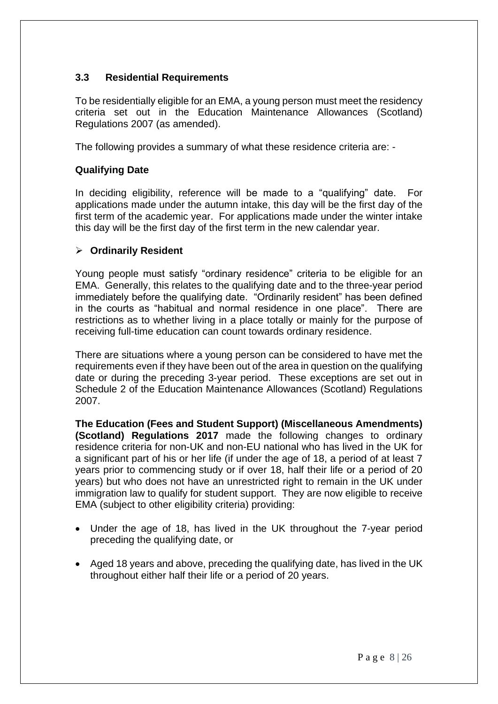# <span id="page-7-0"></span>**3.3 Residential Requirements**

To be residentially eligible for an EMA, a young person must meet the residency criteria set out in the Education Maintenance Allowances (Scotland) Regulations 2007 (as amended).

The following provides a summary of what these residence criteria are: -

# **Qualifying Date**

In deciding eligibility, reference will be made to a "qualifying" date. For applications made under the autumn intake, this day will be the first day of the first term of the academic year. For applications made under the winter intake this day will be the first day of the first term in the new calendar year.

## ➢ **Ordinarily Resident**

Young people must satisfy "ordinary residence" criteria to be eligible for an EMA. Generally, this relates to the qualifying date and to the three-year period immediately before the qualifying date. "Ordinarily resident" has been defined in the courts as "habitual and normal residence in one place". There are restrictions as to whether living in a place totally or mainly for the purpose of receiving full-time education can count towards ordinary residence.

There are situations where a young person can be considered to have met the requirements even if they have been out of the area in question on the qualifying date or during the preceding 3-year period. These exceptions are set out in Schedule 2 of the Education Maintenance Allowances (Scotland) Regulations 2007.

**The Education (Fees and Student Support) (Miscellaneous Amendments) (Scotland) Regulations 2017** made the following changes to ordinary residence criteria for non-UK and non-EU national who has lived in the UK for a significant part of his or her life (if under the age of 18, a period of at least 7 years prior to commencing study or if over 18, half their life or a period of 20 years) but who does not have an unrestricted right to remain in the UK under immigration law to qualify for student support. They are now eligible to receive EMA (subject to other eligibility criteria) providing:

- Under the age of 18, has lived in the UK throughout the 7-year period preceding the qualifying date, or
- Aged 18 years and above, preceding the qualifying date, has lived in the UK throughout either half their life or a period of 20 years.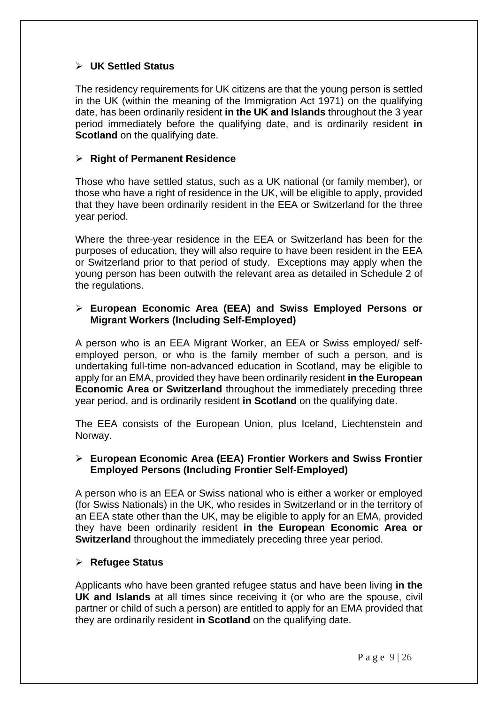# ➢ **UK Settled Status**

The residency requirements for UK citizens are that the young person is settled in the UK (within the meaning of the Immigration Act 1971) on the qualifying date, has been ordinarily resident **in the UK and Islands** throughout the 3 year period immediately before the qualifying date, and is ordinarily resident **in Scotland** on the qualifying date.

#### ➢ **Right of Permanent Residence**

Those who have settled status, such as a UK national (or family member), or those who have a right of residence in the UK, will be eligible to apply, provided that they have been ordinarily resident in the EEA or Switzerland for the three year period.

Where the three-year residence in the EEA or Switzerland has been for the purposes of education, they will also require to have been resident in the EEA or Switzerland prior to that period of study. Exceptions may apply when the young person has been outwith the relevant area as detailed in Schedule 2 of the regulations.

#### ➢ **European Economic Area (EEA) and Swiss Employed Persons or Migrant Workers (Including Self-Employed)**

A person who is an EEA Migrant Worker, an EEA or Swiss employed/ selfemployed person, or who is the family member of such a person, and is undertaking full-time non-advanced education in Scotland, may be eligible to apply for an EMA, provided they have been ordinarily resident **in the European Economic Area or Switzerland** throughout the immediately preceding three year period, and is ordinarily resident **in Scotland** on the qualifying date.

The EEA consists of the European Union, plus Iceland, Liechtenstein and Norway.

#### ➢ **European Economic Area (EEA) Frontier Workers and Swiss Frontier Employed Persons (Including Frontier Self-Employed)**

A person who is an EEA or Swiss national who is either a worker or employed (for Swiss Nationals) in the UK, who resides in Switzerland or in the territory of an EEA state other than the UK, may be eligible to apply for an EMA, provided they have been ordinarily resident **in the European Economic Area or Switzerland** throughout the immediately preceding three year period.

# ➢ **Refugee Status**

Applicants who have been granted refugee status and have been living **in the UK and Islands** at all times since receiving it (or who are the spouse, civil partner or child of such a person) are entitled to apply for an EMA provided that they are ordinarily resident **in Scotland** on the qualifying date.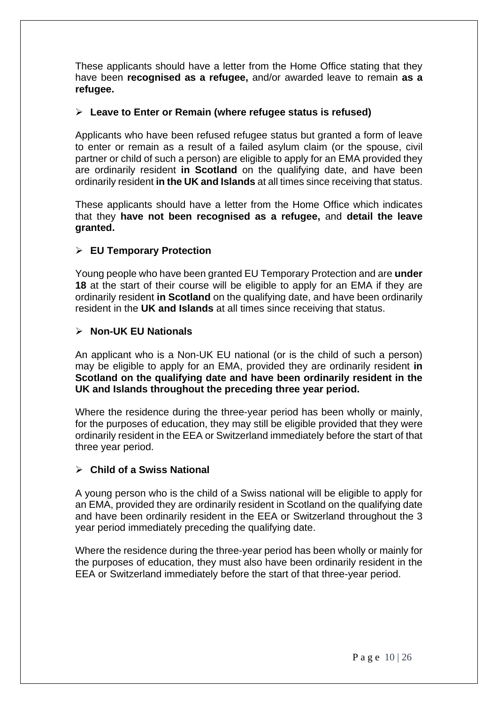These applicants should have a letter from the Home Office stating that they have been **recognised as a refugee,** and/or awarded leave to remain **as a refugee.**

#### ➢ **Leave to Enter or Remain (where refugee status is refused)**

Applicants who have been refused refugee status but granted a form of leave to enter or remain as a result of a failed asylum claim (or the spouse, civil partner or child of such a person) are eligible to apply for an EMA provided they are ordinarily resident **in Scotland** on the qualifying date, and have been ordinarily resident **in the UK and Islands** at all times since receiving that status.

These applicants should have a letter from the Home Office which indicates that they **have not been recognised as a refugee,** and **detail the leave granted.** 

## ➢ **EU Temporary Protection**

Young people who have been granted EU Temporary Protection and are **under 18** at the start of their course will be eligible to apply for an EMA if they are ordinarily resident **in Scotland** on the qualifying date, and have been ordinarily resident in the **UK and Islands** at all times since receiving that status.

#### ➢ **Non-UK EU Nationals**

An applicant who is a Non-UK EU national (or is the child of such a person) may be eligible to apply for an EMA, provided they are ordinarily resident **in Scotland on the qualifying date and have been ordinarily resident in the UK and Islands throughout the preceding three year period.**

Where the residence during the three-year period has been wholly or mainly, for the purposes of education, they may still be eligible provided that they were ordinarily resident in the EEA or Switzerland immediately before the start of that three year period.

#### ➢ **Child of a Swiss National**

A young person who is the child of a Swiss national will be eligible to apply for an EMA, provided they are ordinarily resident in Scotland on the qualifying date and have been ordinarily resident in the EEA or Switzerland throughout the 3 year period immediately preceding the qualifying date.

Where the residence during the three-year period has been wholly or mainly for the purposes of education, they must also have been ordinarily resident in the EEA or Switzerland immediately before the start of that three-year period.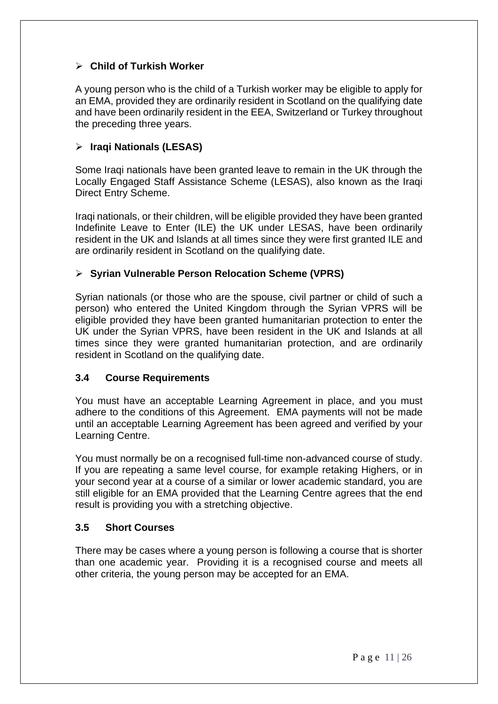# ➢ **Child of Turkish Worker**

A young person who is the child of a Turkish worker may be eligible to apply for an EMA, provided they are ordinarily resident in Scotland on the qualifying date and have been ordinarily resident in the EEA, Switzerland or Turkey throughout the preceding three years.

# ➢ **Iraqi Nationals (LESAS)**

Some Iraqi nationals have been granted leave to remain in the UK through the Locally Engaged Staff Assistance Scheme (LESAS), also known as the Iraqi Direct Entry Scheme.

Iraqi nationals, or their children, will be eligible provided they have been granted Indefinite Leave to Enter (ILE) the UK under LESAS, have been ordinarily resident in the UK and Islands at all times since they were first granted ILE and are ordinarily resident in Scotland on the qualifying date.

# ➢ **Syrian Vulnerable Person Relocation Scheme (VPRS)**

Syrian nationals (or those who are the spouse, civil partner or child of such a person) who entered the United Kingdom through the Syrian VPRS will be eligible provided they have been granted humanitarian protection to enter the UK under the Syrian VPRS, have been resident in the UK and Islands at all times since they were granted humanitarian protection, and are ordinarily resident in Scotland on the qualifying date.

# <span id="page-10-0"></span>**3.4 Course Requirements**

You must have an acceptable Learning Agreement in place, and you must adhere to the conditions of this Agreement. EMA payments will not be made until an acceptable Learning Agreement has been agreed and verified by your Learning Centre.

You must normally be on a recognised full-time non-advanced course of study. If you are repeating a same level course, for example retaking Highers, or in your second year at a course of a similar or lower academic standard, you are still eligible for an EMA provided that the Learning Centre agrees that the end result is providing you with a stretching objective.

## <span id="page-10-1"></span>**3.5 Short Courses**

<span id="page-10-2"></span>There may be cases where a young person is following a course that is shorter than one academic year. Providing it is a recognised course and meets all other criteria, the young person may be accepted for an EMA.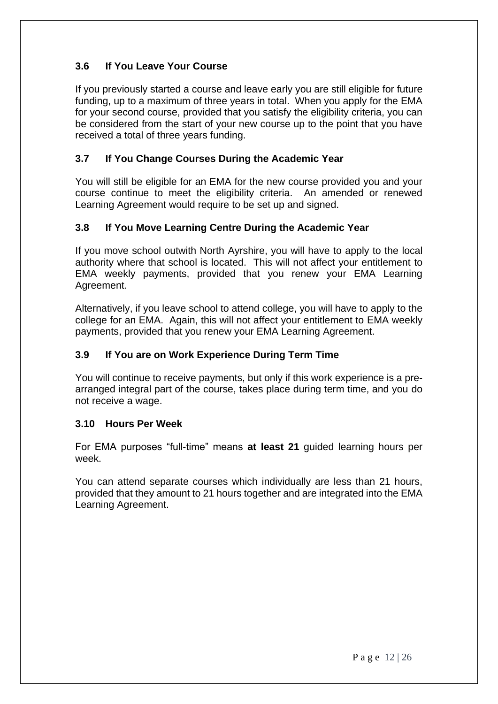# **3.6 If You Leave Your Course**

If you previously started a course and leave early you are still eligible for future funding, up to a maximum of three years in total. When you apply for the EMA for your second course, provided that you satisfy the eligibility criteria, you can be considered from the start of your new course up to the point that you have received a total of three years funding.

# <span id="page-11-0"></span>**3.7 If You Change Courses During the Academic Year**

You will still be eligible for an EMA for the new course provided you and your course continue to meet the eligibility criteria. An amended or renewed Learning Agreement would require to be set up and signed.

# <span id="page-11-1"></span>**3.8 If You Move Learning Centre During the Academic Year**

If you move school outwith North Ayrshire, you will have to apply to the local authority where that school is located. This will not affect your entitlement to EMA weekly payments, provided that you renew your EMA Learning Agreement.

Alternatively, if you leave school to attend college, you will have to apply to the college for an EMA. Again, this will not affect your entitlement to EMA weekly payments, provided that you renew your EMA Learning Agreement.

# <span id="page-11-2"></span>**3.9 If You are on Work Experience During Term Time**

You will continue to receive payments, but only if this work experience is a prearranged integral part of the course, takes place during term time, and you do not receive a wage.

#### <span id="page-11-3"></span>**3.10 Hours Per Week**

For EMA purposes "full-time" means **at least 21** guided learning hours per week.

You can attend separate courses which individually are less than 21 hours, provided that they amount to 21 hours together and are integrated into the EMA Learning Agreement.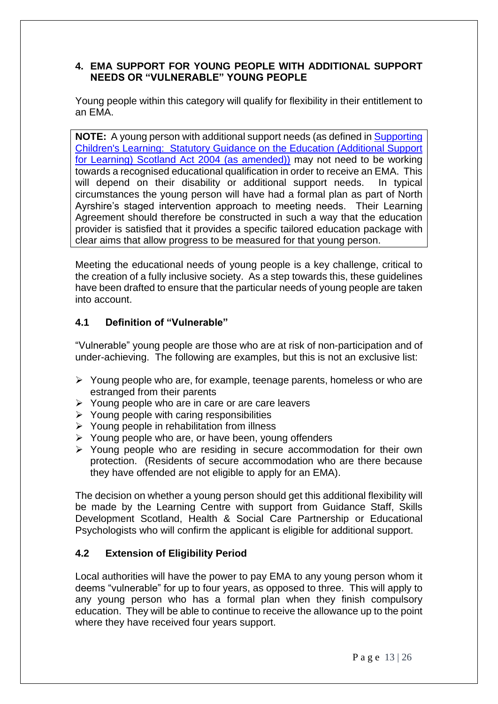## <span id="page-12-0"></span>**4. EMA SUPPORT FOR YOUNG PEOPLE WITH ADDITIONAL SUPPORT NEEDS OR "VULNERABLE" YOUNG PEOPLE**

Young people within this category will qualify for flexibility in their entitlement to an EMA.

**NOTE:** A young person with additional support needs (as defined in [Supporting](file://///NAYRHQVSD1/PUBLIC/ESPUBLIC/Business%20Support/Resources/EMA/EMA%202021-2022%20-%20Being%20Updated/NAC%20Policy%20&%20Guidance%20Documents/Supporting%20Children)  [Children's Learning: Statutory Guidance on the Education \(Additional Support](file://///NAYRHQVSD1/PUBLIC/ESPUBLIC/Business%20Support/Resources/EMA/EMA%202021-2022%20-%20Being%20Updated/NAC%20Policy%20&%20Guidance%20Documents/Supporting%20Children)  for Learning) Scotland [Act 2004 \(as amended\)\)](file://///NAYRHQVSD1/PUBLIC/ESPUBLIC/Business%20Support/Resources/EMA/EMA%202021-2022%20-%20Being%20Updated/NAC%20Policy%20&%20Guidance%20Documents/Supporting%20Children) may not need to be working towards a recognised educational qualification in order to receive an EMA. This will depend on their disability or additional support needs. In typical circumstances the young person will have had a formal plan as part of North Ayrshire's staged intervention approach to meeting needs. Their Learning Agreement should therefore be constructed in such a way that the education provider is satisfied that it provides a specific tailored education package with clear aims that allow progress to be measured for that young person.

Meeting the educational needs of young people is a key challenge, critical to the creation of a fully inclusive society. As a step towards this, these guidelines have been drafted to ensure that the particular needs of young people are taken into account.

# <span id="page-12-1"></span>**4.1 Definition of "Vulnerable"**

"Vulnerable" young people are those who are at risk of non-participation and of under-achieving. The following are examples, but this is not an exclusive list:

- ➢ Young people who are, for example, teenage parents, homeless or who are estranged from their parents
- ➢ Young people who are in care or are care leavers
- $\triangleright$  Young people with caring responsibilities
- ➢ Young people in rehabilitation from illness
- ➢ Young people who are, or have been, young offenders
- ➢ Young people who are residing in secure accommodation for their own protection. (Residents of secure accommodation who are there because they have offended are not eligible to apply for an EMA).

The decision on whether a young person should get this additional flexibility will be made by the Learning Centre with support from Guidance Staff, Skills Development Scotland, Health & Social Care Partnership or Educational Psychologists who will confirm the applicant is eligible for additional support.

# <span id="page-12-2"></span>**4.2 Extension of Eligibility Period**

Local authorities will have the power to pay EMA to any young person whom it deems "vulnerable" for up to four years, as opposed to three. This will apply to any young person who has a formal plan when they finish compulsory education. They will be able to continue to receive the allowance up to the point where they have received four years support.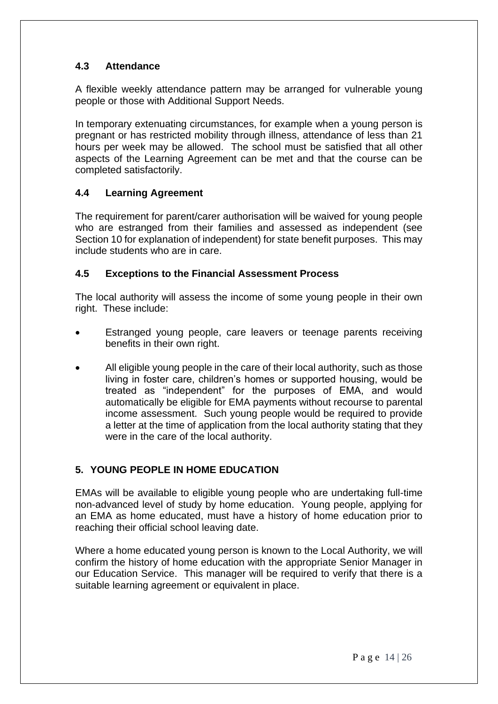# <span id="page-13-0"></span>**4.3 Attendance**

A flexible weekly attendance pattern may be arranged for vulnerable young people or those with Additional Support Needs.

In temporary extenuating circumstances, for example when a young person is pregnant or has restricted mobility through illness, attendance of less than 21 hours per week may be allowed. The school must be satisfied that all other aspects of the Learning Agreement can be met and that the course can be completed satisfactorily.

# <span id="page-13-1"></span>**4.4 Learning Agreement**

The requirement for parent/carer authorisation will be waived for young people who are estranged from their families and assessed as independent (see Section 10 for explanation of independent) for state benefit purposes. This may include students who are in care.

## <span id="page-13-2"></span>**4.5 Exceptions to the Financial Assessment Process**

The local authority will assess the income of some young people in their own right. These include:

- Estranged young people, care leavers or teenage parents receiving benefits in their own right.
- All eligible young people in the care of their local authority, such as those living in foster care, children's homes or supported housing, would be treated as "independent" for the purposes of EMA, and would automatically be eligible for EMA payments without recourse to parental income assessment. Such young people would be required to provide a letter at the time of application from the local authority stating that they were in the care of the local authority.

# <span id="page-13-3"></span>**5. YOUNG PEOPLE IN HOME EDUCATION**

EMAs will be available to eligible young people who are undertaking full-time non-advanced level of study by home education. Young people, applying for an EMA as home educated, must have a history of home education prior to reaching their official school leaving date.

Where a home educated young person is known to the Local Authority, we will confirm the history of home education with the appropriate Senior Manager in our Education Service. This manager will be required to verify that there is a suitable learning agreement or equivalent in place.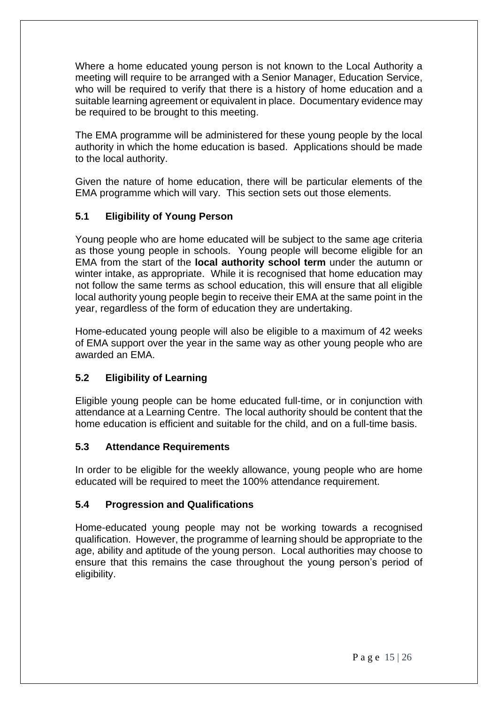Where a home educated young person is not known to the Local Authority a meeting will require to be arranged with a Senior Manager, Education Service, who will be required to verify that there is a history of home education and a suitable learning agreement or equivalent in place. Documentary evidence may be required to be brought to this meeting.

The EMA programme will be administered for these young people by the local authority in which the home education is based. Applications should be made to the local authority.

Given the nature of home education, there will be particular elements of the EMA programme which will vary. This section sets out those elements.

# <span id="page-14-0"></span>**5.1 Eligibility of Young Person**

Young people who are home educated will be subject to the same age criteria as those young people in schools. Young people will become eligible for an EMA from the start of the **local authority school term** under the autumn or winter intake, as appropriate. While it is recognised that home education may not follow the same terms as school education, this will ensure that all eligible local authority young people begin to receive their EMA at the same point in the year, regardless of the form of education they are undertaking.

Home-educated young people will also be eligible to a maximum of 42 weeks of EMA support over the year in the same way as other young people who are awarded an EMA.

# <span id="page-14-1"></span>**5.2 Eligibility of Learning**

Eligible young people can be home educated full-time, or in conjunction with attendance at a Learning Centre. The local authority should be content that the home education is efficient and suitable for the child, and on a full-time basis.

#### <span id="page-14-2"></span>**5.3 Attendance Requirements**

In order to be eligible for the weekly allowance, young people who are home educated will be required to meet the 100% attendance requirement.

#### <span id="page-14-3"></span>**5.4 Progression and Qualifications**

Home-educated young people may not be working towards a recognised qualification. However, the programme of learning should be appropriate to the age, ability and aptitude of the young person. Local authorities may choose to ensure that this remains the case throughout the young person's period of eligibility.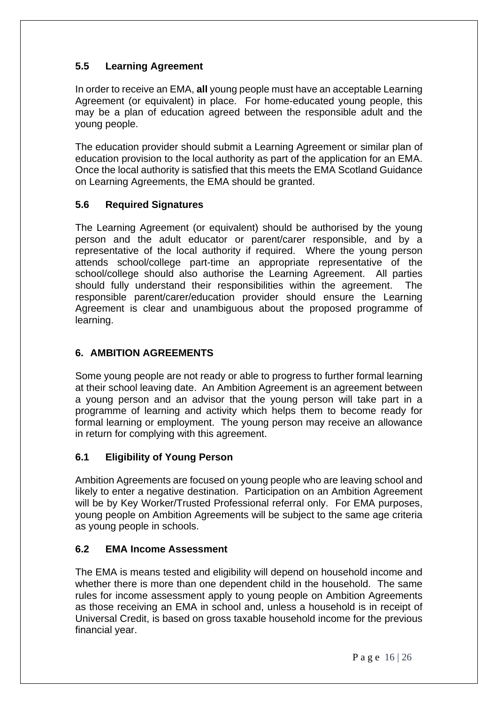# <span id="page-15-0"></span>**5.5 Learning Agreement**

In order to receive an EMA, **all** young people must have an acceptable Learning Agreement (or equivalent) in place. For home-educated young people, this may be a plan of education agreed between the responsible adult and the young people.

The education provider should submit a Learning Agreement or similar plan of education provision to the local authority as part of the application for an EMA. Once the local authority is satisfied that this meets the EMA Scotland Guidance on Learning Agreements, the EMA should be granted.

# <span id="page-15-1"></span>**5.6 Required Signatures**

The Learning Agreement (or equivalent) should be authorised by the young person and the adult educator or parent/carer responsible, and by a representative of the local authority if required. Where the young person attends school/college part-time an appropriate representative of the school/college should also authorise the Learning Agreement. All parties should fully understand their responsibilities within the agreement. The responsible parent/carer/education provider should ensure the Learning Agreement is clear and unambiguous about the proposed programme of learning.

# <span id="page-15-2"></span>**6. AMBITION AGREEMENTS**

Some young people are not ready or able to progress to further formal learning at their school leaving date. An Ambition Agreement is an agreement between a young person and an advisor that the young person will take part in a programme of learning and activity which helps them to become ready for formal learning or employment. The young person may receive an allowance in return for complying with this agreement.

# <span id="page-15-3"></span>**6.1 Eligibility of Young Person**

Ambition Agreements are focused on young people who are leaving school and likely to enter a negative destination. Participation on an Ambition Agreement will be by Key Worker/Trusted Professional referral only. For EMA purposes, young people on Ambition Agreements will be subject to the same age criteria as young people in schools.

# <span id="page-15-4"></span>**6.2 EMA Income Assessment**

The EMA is means tested and eligibility will depend on household income and whether there is more than one dependent child in the household. The same rules for income assessment apply to young people on Ambition Agreements as those receiving an EMA in school and, unless a household is in receipt of Universal Credit, is based on gross taxable household income for the previous financial year.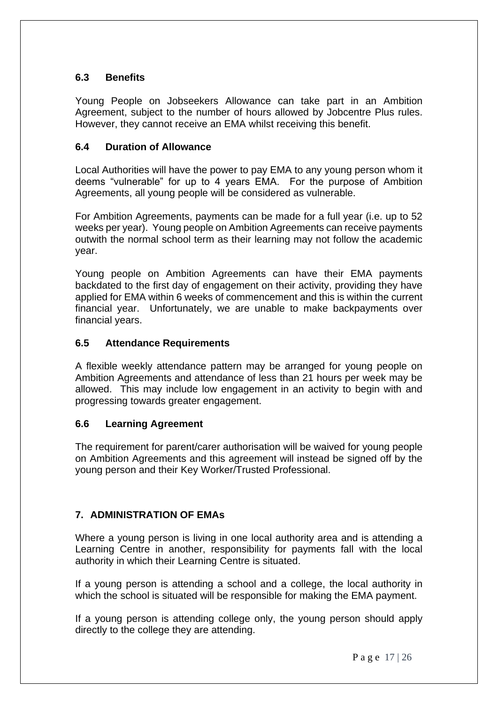# <span id="page-16-0"></span>**6.3 Benefits**

Young People on Jobseekers Allowance can take part in an Ambition Agreement, subject to the number of hours allowed by Jobcentre Plus rules. However, they cannot receive an EMA whilst receiving this benefit.

# <span id="page-16-1"></span>**6.4 Duration of Allowance**

Local Authorities will have the power to pay EMA to any young person whom it deems "vulnerable" for up to 4 years EMA. For the purpose of Ambition Agreements, all young people will be considered as vulnerable.

For Ambition Agreements, payments can be made for a full year (i.e. up to 52 weeks per year). Young people on Ambition Agreements can receive payments outwith the normal school term as their learning may not follow the academic year.

Young people on Ambition Agreements can have their EMA payments backdated to the first day of engagement on their activity, providing they have applied for EMA within 6 weeks of commencement and this is within the current financial year. Unfortunately, we are unable to make backpayments over financial years.

# <span id="page-16-2"></span>**6.5 Attendance Requirements**

A flexible weekly attendance pattern may be arranged for young people on Ambition Agreements and attendance of less than 21 hours per week may be allowed. This may include low engagement in an activity to begin with and progressing towards greater engagement.

# <span id="page-16-3"></span>**6.6 Learning Agreement**

The requirement for parent/carer authorisation will be waived for young people on Ambition Agreements and this agreement will instead be signed off by the young person and their Key Worker/Trusted Professional.

# <span id="page-16-4"></span>**7. ADMINISTRATION OF EMAs**

Where a young person is living in one local authority area and is attending a Learning Centre in another, responsibility for payments fall with the local authority in which their Learning Centre is situated.

If a young person is attending a school and a college, the local authority in which the school is situated will be responsible for making the EMA payment.

If a young person is attending college only, the young person should apply directly to the college they are attending.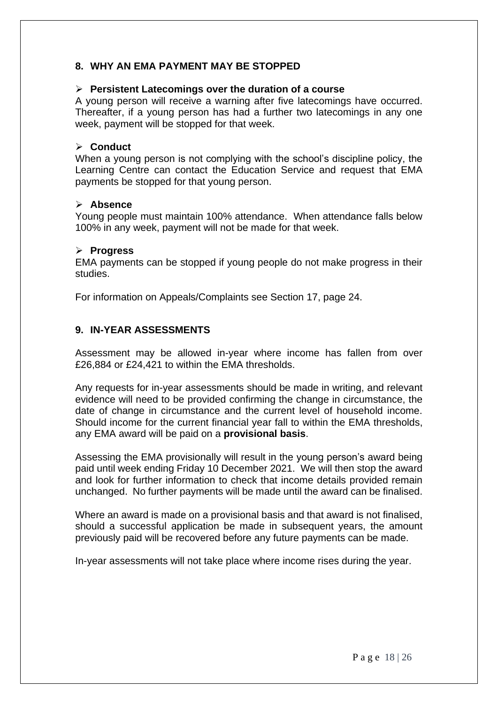# <span id="page-17-0"></span>**8. WHY AN EMA PAYMENT MAY BE STOPPED**

#### ➢ **Persistent Latecomings over the duration of a course**

A young person will receive a warning after five latecomings have occurred. Thereafter, if a young person has had a further two latecomings in any one week, payment will be stopped for that week.

#### ➢ **Conduct**

When a young person is not complying with the school's discipline policy, the Learning Centre can contact the Education Service and request that EMA payments be stopped for that young person.

#### ➢ **Absence**

Young people must maintain 100% attendance. When attendance falls below 100% in any week, payment will not be made for that week.

#### ➢ **Progress**

EMA payments can be stopped if young people do not make progress in their studies.

For information on Appeals/Complaints see Section 17, page 24.

## <span id="page-17-1"></span>**9. IN-YEAR ASSESSMENTS**

Assessment may be allowed in-year where income has fallen from over £26,884 or £24,421 to within the EMA thresholds.

Any requests for in-year assessments should be made in writing, and relevant evidence will need to be provided confirming the change in circumstance, the date of change in circumstance and the current level of household income. Should income for the current financial year fall to within the EMA thresholds, any EMA award will be paid on a **provisional basis**.

Assessing the EMA provisionally will result in the young person's award being paid until week ending Friday 10 December 2021. We will then stop the award and look for further information to check that income details provided remain unchanged. No further payments will be made until the award can be finalised.

Where an award is made on a provisional basis and that award is not finalised, should a successful application be made in subsequent years, the amount previously paid will be recovered before any future payments can be made.

In-year assessments will not take place where income rises during the year.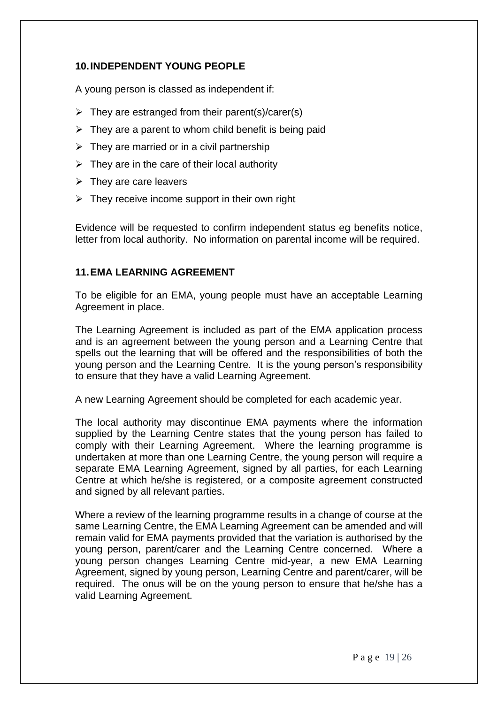# <span id="page-18-0"></span>**10.INDEPENDENT YOUNG PEOPLE**

A young person is classed as independent if:

- $\triangleright$  They are estranged from their parent(s)/carer(s)
- $\triangleright$  They are a parent to whom child benefit is being paid
- $\triangleright$  They are married or in a civil partnership
- $\triangleright$  They are in the care of their local authority
- $\triangleright$  They are care leavers
- $\triangleright$  They receive income support in their own right

Evidence will be requested to confirm independent status eg benefits notice, letter from local authority. No information on parental income will be required.

## <span id="page-18-1"></span>**11.EMA LEARNING AGREEMENT**

To be eligible for an EMA, young people must have an acceptable Learning Agreement in place.

The Learning Agreement is included as part of the EMA application process and is an agreement between the young person and a Learning Centre that spells out the learning that will be offered and the responsibilities of both the young person and the Learning Centre. It is the young person's responsibility to ensure that they have a valid Learning Agreement.

A new Learning Agreement should be completed for each academic year.

The local authority may discontinue EMA payments where the information supplied by the Learning Centre states that the young person has failed to comply with their Learning Agreement. Where the learning programme is undertaken at more than one Learning Centre, the young person will require a separate EMA Learning Agreement, signed by all parties, for each Learning Centre at which he/she is registered, or a composite agreement constructed and signed by all relevant parties.

Where a review of the learning programme results in a change of course at the same Learning Centre, the EMA Learning Agreement can be amended and will remain valid for EMA payments provided that the variation is authorised by the young person, parent/carer and the Learning Centre concerned. Where a young person changes Learning Centre mid-year, a new EMA Learning Agreement, signed by young person, Learning Centre and parent/carer, will be required. The onus will be on the young person to ensure that he/she has a valid Learning Agreement.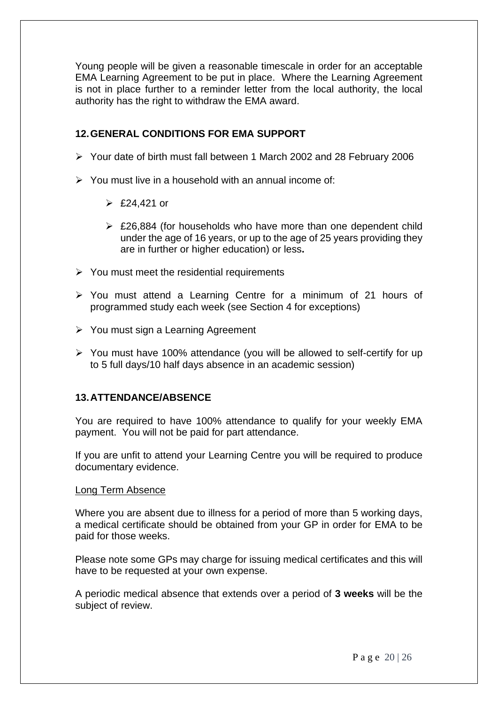Young people will be given a reasonable timescale in order for an acceptable EMA Learning Agreement to be put in place. Where the Learning Agreement is not in place further to a reminder letter from the local authority, the local authority has the right to withdraw the EMA award.

## <span id="page-19-0"></span>**12.GENERAL CONDITIONS FOR EMA SUPPORT**

- ➢ Your date of birth must fall between 1 March 2002 and 28 February 2006
- ➢ You must live in a household with an annual income of:
	- $\geq$  £24,421 or
	- ➢ £26,884 (for households who have more than one dependent child under the age of 16 years, or up to the age of 25 years providing they are in further or higher education) or less**.**
- $\triangleright$  You must meet the residential requirements
- ➢ You must attend a Learning Centre for a minimum of 21 hours of programmed study each week (see Section 4 for exceptions)
- ➢ You must sign a Learning Agreement
- ➢ You must have 100% attendance (you will be allowed to self-certify for up to 5 full days/10 half days absence in an academic session)

#### <span id="page-19-1"></span>**13.ATTENDANCE/ABSENCE**

You are required to have 100% attendance to qualify for your weekly EMA payment. You will not be paid for part attendance.

If you are unfit to attend your Learning Centre you will be required to produce documentary evidence.

#### Long Term Absence

Where you are absent due to illness for a period of more than 5 working days, a medical certificate should be obtained from your GP in order for EMA to be paid for those weeks.

Please note some GPs may charge for issuing medical certificates and this will have to be requested at your own expense.

A periodic medical absence that extends over a period of **3 weeks** will be the subject of review.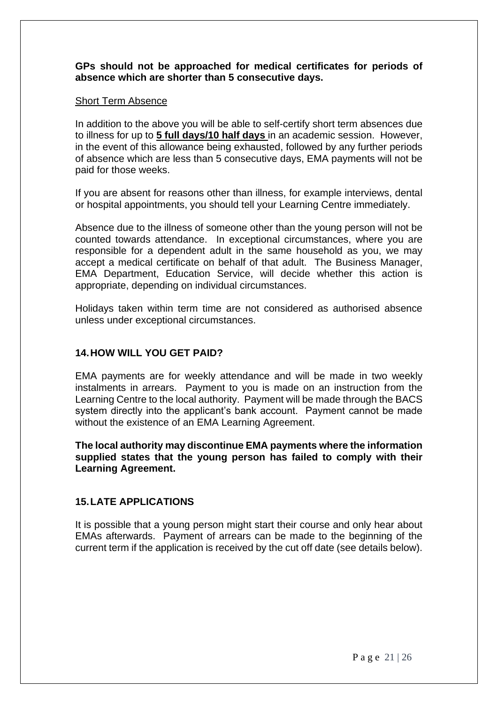#### **GPs should not be approached for medical certificates for periods of absence which are shorter than 5 consecutive days.**

#### Short Term Absence

In addition to the above you will be able to self-certify short term absences due to illness for up to **5 full days/10 half days** in an academic session. However, in the event of this allowance being exhausted, followed by any further periods of absence which are less than 5 consecutive days, EMA payments will not be paid for those weeks.

If you are absent for reasons other than illness, for example interviews, dental or hospital appointments, you should tell your Learning Centre immediately.

Absence due to the illness of someone other than the young person will not be counted towards attendance. In exceptional circumstances, where you are responsible for a dependent adult in the same household as you, we may accept a medical certificate on behalf of that adult. The Business Manager, EMA Department, Education Service, will decide whether this action is appropriate, depending on individual circumstances.

Holidays taken within term time are not considered as authorised absence unless under exceptional circumstances.

#### <span id="page-20-0"></span>**14.HOW WILL YOU GET PAID?**

EMA payments are for weekly attendance and will be made in two weekly instalments in arrears. Payment to you is made on an instruction from the Learning Centre to the local authority. Payment will be made through the BACS system directly into the applicant's bank account. Payment cannot be made without the existence of an EMA Learning Agreement.

**The local authority may discontinue EMA payments where the information supplied states that the young person has failed to comply with their Learning Agreement.**

#### <span id="page-20-1"></span>**15.LATE APPLICATIONS**

It is possible that a young person might start their course and only hear about EMAs afterwards. Payment of arrears can be made to the beginning of the current term if the application is received by the cut off date (see details below).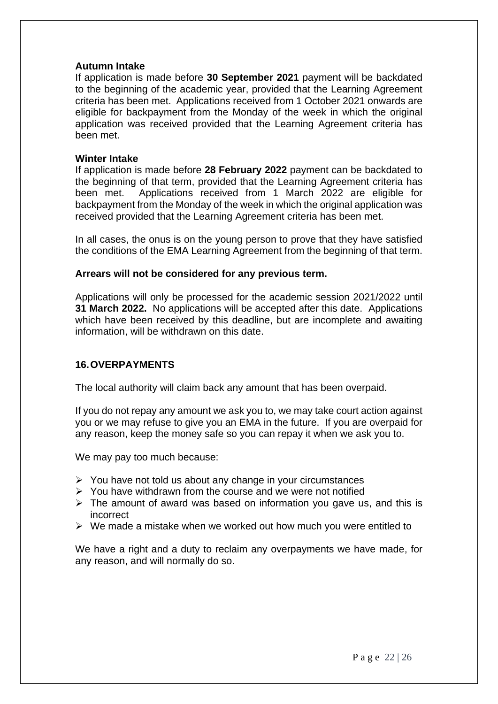#### **Autumn Intake**

If application is made before **30 September 2021** payment will be backdated to the beginning of the academic year, provided that the Learning Agreement criteria has been met. Applications received from 1 October 2021 onwards are eligible for backpayment from the Monday of the week in which the original application was received provided that the Learning Agreement criteria has been met.

#### **Winter Intake**

If application is made before **28 February 2022** payment can be backdated to the beginning of that term, provided that the Learning Agreement criteria has been met. Applications received from 1 March 2022 are eligible for backpayment from the Monday of the week in which the original application was received provided that the Learning Agreement criteria has been met.

In all cases, the onus is on the young person to prove that they have satisfied the conditions of the EMA Learning Agreement from the beginning of that term.

#### **Arrears will not be considered for any previous term.**

Applications will only be processed for the academic session 2021/2022 until **31 March 2022.** No applications will be accepted after this date. Applications which have been received by this deadline, but are incomplete and awaiting information, will be withdrawn on this date.

#### <span id="page-21-0"></span>**16.OVERPAYMENTS**

The local authority will claim back any amount that has been overpaid.

If you do not repay any amount we ask you to, we may take court action against you or we may refuse to give you an EMA in the future. If you are overpaid for any reason, keep the money safe so you can repay it when we ask you to.

We may pay too much because:

- ➢ You have not told us about any change in your circumstances
- $\triangleright$  You have withdrawn from the course and we were not notified
- ➢ The amount of award was based on information you gave us, and this is incorrect
- $\triangleright$  We made a mistake when we worked out how much you were entitled to

We have a right and a duty to reclaim any overpayments we have made, for any reason, and will normally do so.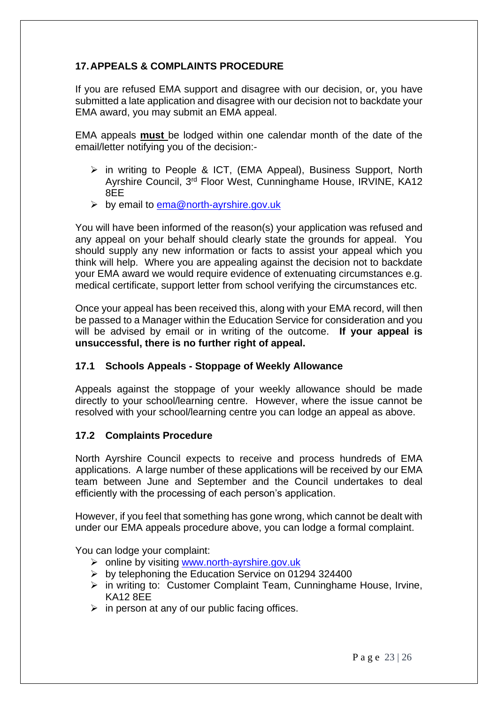# <span id="page-22-0"></span>**17.APPEALS & COMPLAINTS PROCEDURE**

If you are refused EMA support and disagree with our decision, or, you have submitted a late application and disagree with our decision not to backdate your EMA award, you may submit an EMA appeal.

EMA appeals **must** be lodged within one calendar month of the date of the email/letter notifying you of the decision:-

- ➢ in writing to People & ICT, (EMA Appeal), Business Support, North Ayrshire Council, 3<sup>rd</sup> Floor West, Cunninghame House, IRVINE, KA12 8EE
- ➢ by email to [ema@north-ayrshire.gov.uk](mailto:ema@north-ayrshire.gov.uk)

You will have been informed of the reason(s) your application was refused and any appeal on your behalf should clearly state the grounds for appeal. You should supply any new information or facts to assist your appeal which you think will help. Where you are appealing against the decision not to backdate your EMA award we would require evidence of extenuating circumstances e.g. medical certificate, support letter from school verifying the circumstances etc.

Once your appeal has been received this, along with your EMA record, will then be passed to a Manager within the Education Service for consideration and you will be advised by email or in writing of the outcome. **If your appeal is unsuccessful, there is no further right of appeal.**

#### <span id="page-22-1"></span>**17.1 Schools Appeals - Stoppage of Weekly Allowance**

Appeals against the stoppage of your weekly allowance should be made directly to your school/learning centre. However, where the issue cannot be resolved with your school/learning centre you can lodge an appeal as above.

# <span id="page-22-2"></span>**17.2 Complaints Procedure**

North Ayrshire Council expects to receive and process hundreds of EMA applications. A large number of these applications will be received by our EMA team between June and September and the Council undertakes to deal efficiently with the processing of each person's application.

However, if you feel that something has gone wrong, which cannot be dealt with under our EMA appeals procedure above, you can lodge a formal complaint.

You can lodge your complaint:

- ➢ online by visiting [www.north-ayrshire.gov.uk](http://www.north-ayrshire.gov.uk/)
- ➢ by telephoning the Education Service on 01294 324400
- ➢ in writing to: Customer Complaint Team, Cunninghame House, Irvine, KA12 8EE
- $\triangleright$  in person at any of our public facing offices.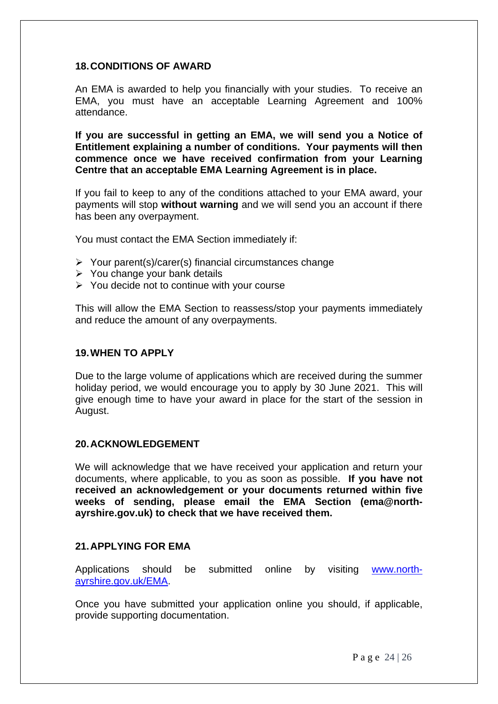## <span id="page-23-0"></span>**18.CONDITIONS OF AWARD**

An EMA is awarded to help you financially with your studies. To receive an EMA, you must have an acceptable Learning Agreement and 100% attendance.

**If you are successful in getting an EMA, we will send you a Notice of Entitlement explaining a number of conditions. Your payments will then commence once we have received confirmation from your Learning Centre that an acceptable EMA Learning Agreement is in place.**

If you fail to keep to any of the conditions attached to your EMA award, your payments will stop **without warning** and we will send you an account if there has been any overpayment.

You must contact the EMA Section immediately if:

- ➢ Your parent(s)/carer(s) financial circumstances change
- ➢ You change your bank details
- ➢ You decide not to continue with your course

This will allow the EMA Section to reassess/stop your payments immediately and reduce the amount of any overpayments.

#### <span id="page-23-1"></span>**19.WHEN TO APPLY**

Due to the large volume of applications which are received during the summer holiday period, we would encourage you to apply by 30 June 2021. This will give enough time to have your award in place for the start of the session in August.

#### <span id="page-23-2"></span>**20.ACKNOWLEDGEMENT**

We will acknowledge that we have received your application and return your documents, where applicable, to you as soon as possible. **If you have not received an acknowledgement or your documents returned within five weeks of sending, please email the EMA Section (ema@northayrshire.gov.uk) to check that we have received them.**

## <span id="page-23-3"></span>**21.APPLYING FOR EMA**

Applications should be submitted online by visiting [www.north](http://www.north-ayrshire.gov.uk/EMA)[ayrshire.gov.uk/EMA.](http://www.north-ayrshire.gov.uk/EMA)

Once you have submitted your application online you should, if applicable, provide supporting documentation.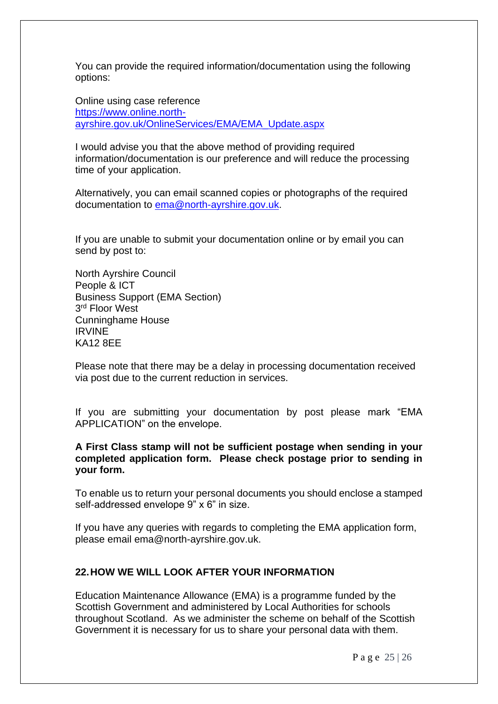You can provide the required information/documentation using the following options:

Online using case reference [https://www.online.north](https://www.online.north-ayrshire.gov.uk/OnlineServices/EMA/EMA_Update.aspx)[ayrshire.gov.uk/OnlineServices/EMA/EMA\\_Update.aspx](https://www.online.north-ayrshire.gov.uk/OnlineServices/EMA/EMA_Update.aspx)

I would advise you that the above method of providing required information/documentation is our preference and will reduce the processing time of your application.

Alternatively, you can email scanned copies or photographs of the required documentation to  $ema@north-ayrshire.gov.uk$ .

If you are unable to submit your documentation online or by email you can send by post to:

North Ayrshire Council People & ICT Business Support (EMA Section) 3 rd Floor West Cunninghame House IRVINE KA12 8EE

Please note that there may be a delay in processing documentation received via post due to the current reduction in services.

If you are submitting your documentation by post please mark "EMA APPLICATION" on the envelope.

#### **A First Class stamp will not be sufficient postage when sending in your completed application form. Please check postage prior to sending in your form.**

To enable us to return your personal documents you should enclose a stamped self-addressed envelope 9" x 6" in size.

If you have any queries with regards to completing the EMA application form, please email ema@north-ayrshire.gov.uk.

#### <span id="page-24-0"></span>**22.HOW WE WILL LOOK AFTER YOUR INFORMATION**

Education Maintenance Allowance (EMA) is a programme funded by the Scottish Government and administered by Local Authorities for schools throughout Scotland. As we administer the scheme on behalf of the Scottish Government it is necessary for us to share your personal data with them.